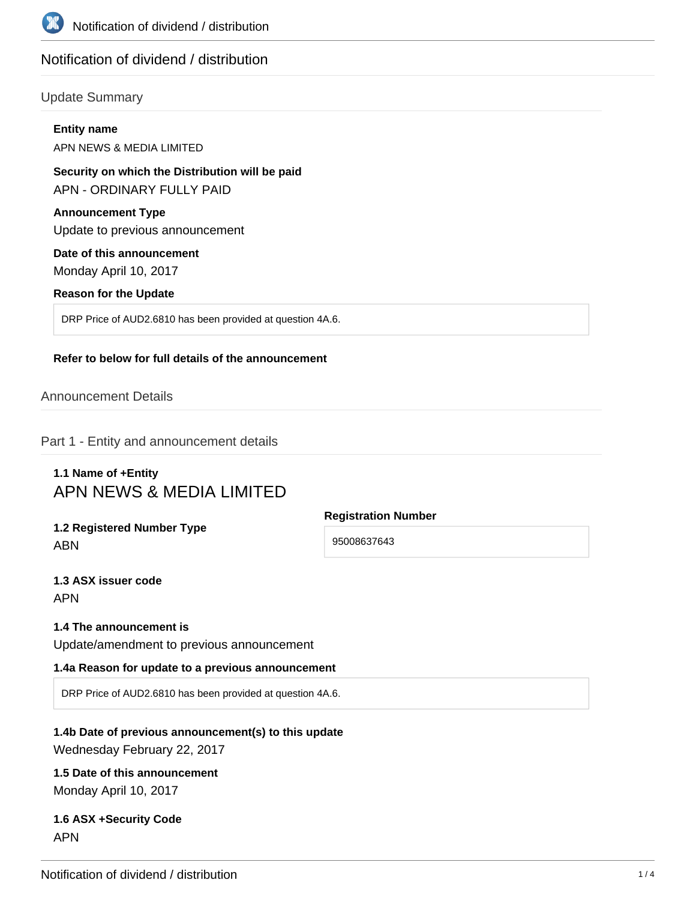

# Notification of dividend / distribution

# Update Summary

#### **Entity name**

APN NEWS & MEDIA LIMITED

### **Security on which the Distribution will be paid** APN - ORDINARY FULLY PAID

# **Announcement Type**

Update to previous announcement

#### **Date of this announcement**

Monday April 10, 2017

#### **Reason for the Update**

DRP Price of AUD2.6810 has been provided at question 4A.6.

#### **Refer to below for full details of the announcement**

# Announcement Details

Part 1 - Entity and announcement details

# **1.1 Name of +Entity** APN NEWS & MEDIA LIMITED

**1.2 Registered Number Type** ABN

**Registration Number**

95008637643

**1.3 ASX issuer code** APN

#### **1.4 The announcement is**

Update/amendment to previous announcement

#### **1.4a Reason for update to a previous announcement**

DRP Price of AUD2.6810 has been provided at question 4A.6.

# **1.4b Date of previous announcement(s) to this update** Wednesday February 22, 2017

# **1.5 Date of this announcement** Monday April 10, 2017

# **1.6 ASX +Security Code** APN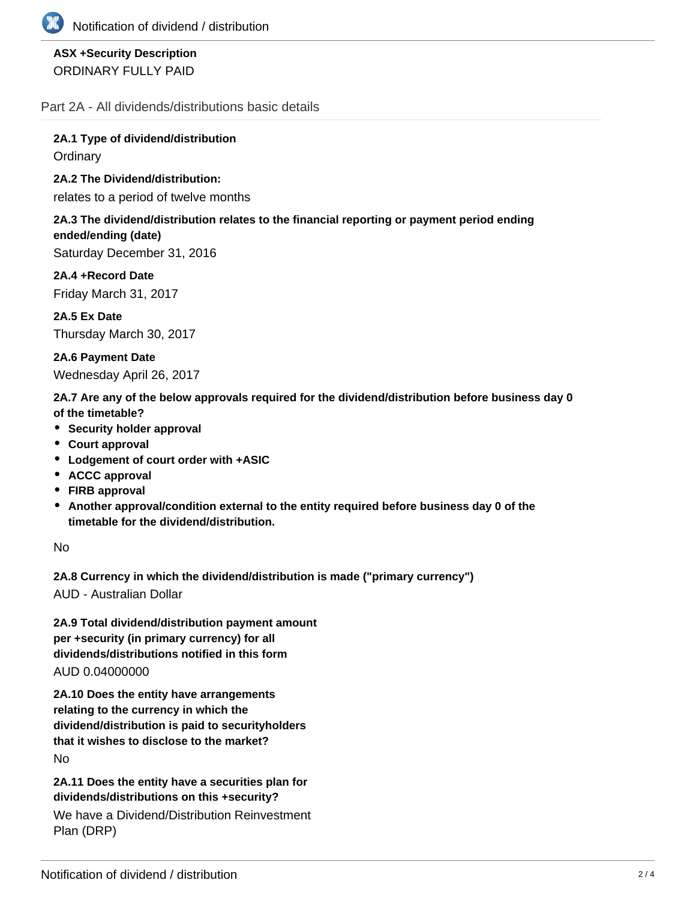

# **ASX +Security Description** ORDINARY FULLY PAID

Part 2A - All dividends/distributions basic details

**2A.1 Type of dividend/distribution Ordinary** 

**2A.2 The Dividend/distribution:**

relates to a period of twelve months

### **2A.3 The dividend/distribution relates to the financial reporting or payment period ending ended/ending (date)**

Saturday December 31, 2016

**2A.4 +Record Date** Friday March 31, 2017

**2A.5 Ex Date** Thursday March 30, 2017

**2A.6 Payment Date** Wednesday April 26, 2017

**2A.7 Are any of the below approvals required for the dividend/distribution before business day 0 of the timetable?**

- **•** Security holder approval
- **Court approval**
- **Lodgement of court order with +ASIC**
- **ACCC approval**
- **FIRB approval**
- **Another approval/condition external to the entity required before business day 0 of the timetable for the dividend/distribution.**

No

**2A.8 Currency in which the dividend/distribution is made ("primary currency")**

AUD - Australian Dollar

**2A.9 Total dividend/distribution payment amount per +security (in primary currency) for all dividends/distributions notified in this form** AUD 0.04000000

**2A.10 Does the entity have arrangements relating to the currency in which the dividend/distribution is paid to securityholders that it wishes to disclose to the market?** No

**2A.11 Does the entity have a securities plan for dividends/distributions on this +security?**

We have a Dividend/Distribution Reinvestment Plan (DRP)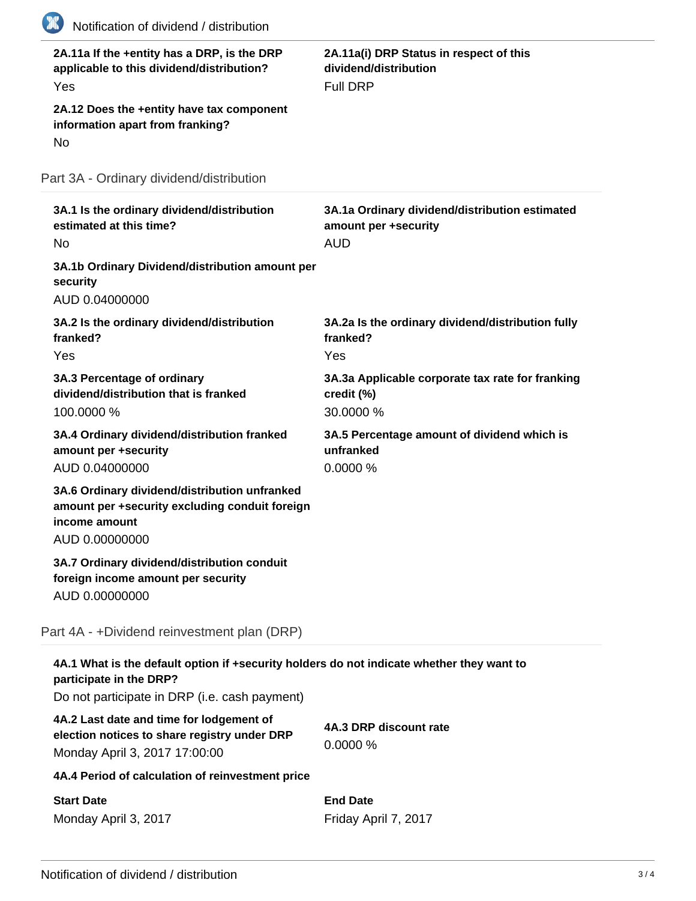| 2A.11a If the +entity has a DRP, is the DRP<br>applicable to this dividend/distribution?<br>Yes<br>2A.12 Does the +entity have tax component<br>information apart from franking?<br>N <sub>o</sub> | 2A.11a(i) DRP Status in respect of this<br>dividend/distribution<br><b>Full DRP</b>  |
|----------------------------------------------------------------------------------------------------------------------------------------------------------------------------------------------------|--------------------------------------------------------------------------------------|
| Part 3A - Ordinary dividend/distribution                                                                                                                                                           |                                                                                      |
| 3A.1 Is the ordinary dividend/distribution<br>estimated at this time?<br>N <sub>o</sub>                                                                                                            | 3A.1a Ordinary dividend/distribution estimated<br>amount per +security<br><b>AUD</b> |
| 3A.1b Ordinary Dividend/distribution amount per<br>security<br>AUD 0.04000000                                                                                                                      |                                                                                      |
| 3A.2 Is the ordinary dividend/distribution<br>franked?<br>Yes                                                                                                                                      | 3A.2a Is the ordinary dividend/distribution fully<br>franked?<br>Yes                 |
| 3A.3 Percentage of ordinary<br>dividend/distribution that is franked<br>100.0000 %                                                                                                                 | 3A.3a Applicable corporate tax rate for franking<br>credit (%)<br>30.0000 %          |
| 3A.4 Ordinary dividend/distribution franked<br>amount per +security<br>AUD 0.04000000                                                                                                              | 3A.5 Percentage amount of dividend which is<br>unfranked<br>0.0000%                  |
| 3A.6 Ordinary dividend/distribution unfranked<br>amount per +security excluding conduit foreign<br>income amount<br>AUD 0.00000000                                                                 |                                                                                      |
| 3A.7 Ordinary dividend/distribution conduit<br>foreign income amount per security<br>AUD 0.00000000                                                                                                |                                                                                      |
| Part 4A - +Dividend reinvestment plan (DRP)                                                                                                                                                        |                                                                                      |
| 4A.1 What is the default option if +security holders do not indicate whether they want to<br>participate in the DRP?<br>Do not participate in DRP (i.e. cash payment)                              |                                                                                      |
| 4A.2 Last date and time for lodgement of<br>election notices to share registry under DRP<br>Monday April 3, 2017 17:00:00                                                                          | 4A.3 DRP discount rate<br>0.0000%                                                    |
| 4A.4 Period of calculation of reinvestment price                                                                                                                                                   |                                                                                      |
| <b>Start Date</b><br>Monday April 3, 2017                                                                                                                                                          | <b>End Date</b><br>Friday April 7, 2017                                              |